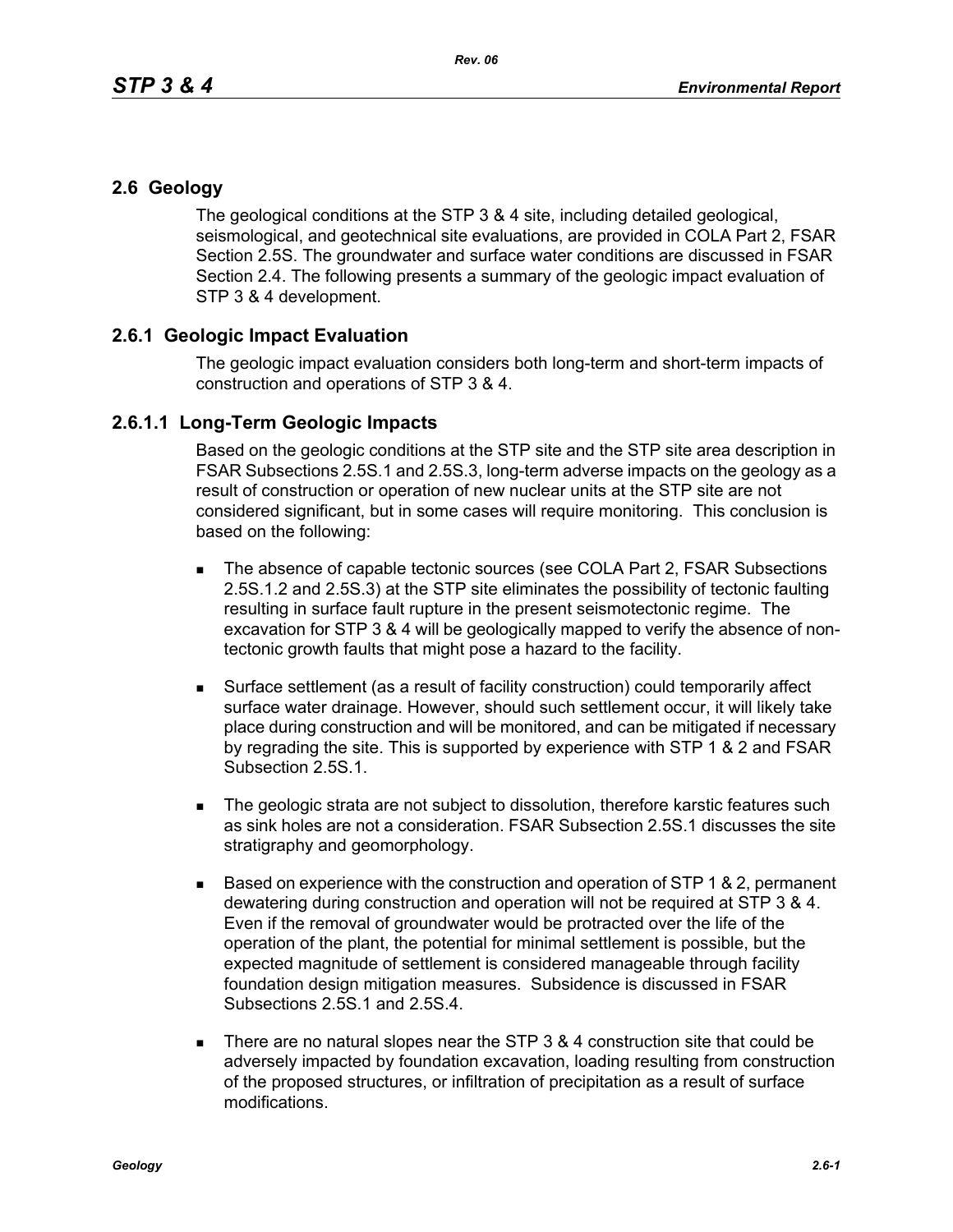## **2.6 Geology**

The geological conditions at the STP 3 & 4 site, including detailed geological, seismological, and geotechnical site evaluations, are provided in COLA Part 2, FSAR Section 2.5S. The groundwater and surface water conditions are discussed in FSAR Section 2.4. The following presents a summary of the geologic impact evaluation of STP 3 & 4 development.

## **2.6.1 Geologic Impact Evaluation**

The geologic impact evaluation considers both long-term and short-term impacts of construction and operations of STP 3 & 4.

## **2.6.1.1 Long-Term Geologic Impacts**

Based on the geologic conditions at the STP site and the STP site area description in FSAR Subsections 2.5S.1 and 2.5S.3, long-term adverse impacts on the geology as a result of construction or operation of new nuclear units at the STP site are not considered significant, but in some cases will require monitoring. This conclusion is based on the following:

- The absence of capable tectonic sources (see COLA Part 2, FSAR Subsections 2.5S.1.2 and 2.5S.3) at the STP site eliminates the possibility of tectonic faulting resulting in surface fault rupture in the present seismotectonic regime. The excavation for STP 3 & 4 will be geologically mapped to verify the absence of nontectonic growth faults that might pose a hazard to the facility.
- Surface settlement (as a result of facility construction) could temporarily affect surface water drainage. However, should such settlement occur, it will likely take place during construction and will be monitored, and can be mitigated if necessary by regrading the site. This is supported by experience with STP 1 & 2 and FSAR Subsection 2.5S.1.
- The geologic strata are not subject to dissolution, therefore karstic features such as sink holes are not a consideration. FSAR Subsection 2.5S.1 discusses the site stratigraphy and geomorphology.
- $\blacksquare$  Based on experience with the construction and operation of STP 1 & 2, permanent dewatering during construction and operation will not be required at STP 3 & 4. Even if the removal of groundwater would be protracted over the life of the operation of the plant, the potential for minimal settlement is possible, but the expected magnitude of settlement is considered manageable through facility foundation design mitigation measures. Subsidence is discussed in FSAR Subsections 2.5S.1 and 2.5S.4.
- There are no natural slopes near the STP  $3.8.4$  construction site that could be adversely impacted by foundation excavation, loading resulting from construction of the proposed structures, or infiltration of precipitation as a result of surface modifications.